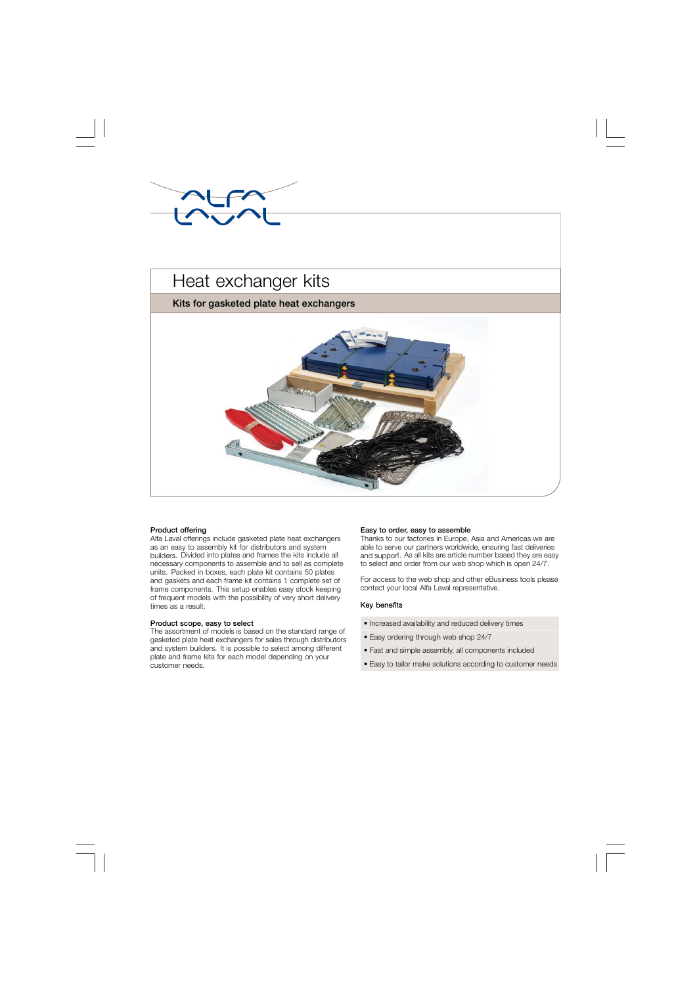



## **Product offering**

Alfa Laval offerings include gasketed plate heat exchangers as an easy to assembly kit for distributors and system builders. Divided into plates and frames the kits include all necessary components to assemble and to sell as complete units. Packed in boxes, each plate kit contains 50 plates and gaskets and each frame kit contains 1 complete set of frame components. This setup enables easy stock keeping of frequent models with the possibility of very short delivery times as a result.

## **Product scope, easy to select**

The assortment of models is based on the standard range of gasketed plate heat exchangers for sales through distributors and system builders. It is possible to select among different plate and frame kits for each model depending on your customer needs.

### **Easy to order, easy to assemble**

Thanks to our factories in Europe, Asia and Americas we are able to serve our partners worldwide, ensuring fast deliveries and support. As all kits are article number based they are easy to select and order from our web shop which is open 24/7.

For access to the web shop and other eBusiness tools please contact your local Alfa Laval representative.

## Key benefits

- Increased availability and reduced delivery times
- Easy ordering through web shop 24/7
- Fast and simple assembly, all components included
- Easy to tailor make solutions according to customer needs